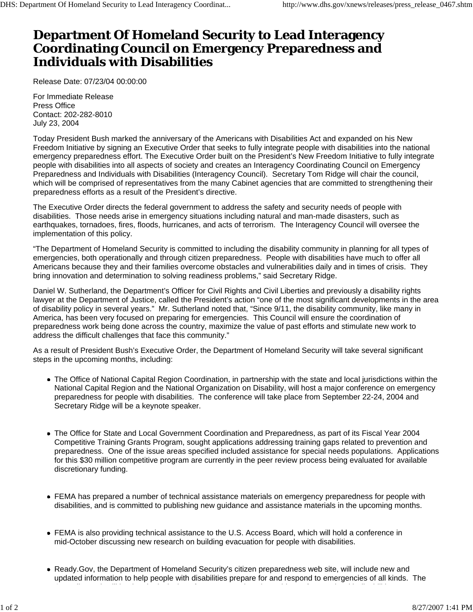## **Department Of Homeland Security to Lead Interagency Coordinating Council on Emergency Preparedness and Individuals with Disabilities**

Release Date: 07/23/04 00:00:00

For Immediate Release Press Office Contact: 202-282-8010 July 23, 2004

Today President Bush marked the anniversary of the Americans with Disabilities Act and expanded on his New Freedom Initiative by signing an Executive Order that seeks to fully integrate people with disabilities into the national emergency preparedness effort. The Executive Order built on the President's New Freedom Initiative to fully integrate people with disabilities into all aspects of society and creates an Interagency Coordinating Council on Emergency Preparedness and Individuals with Disabilities (Interagency Council). Secretary Tom Ridge will chair the council, which will be comprised of representatives from the many Cabinet agencies that are committed to strengthening their preparedness efforts as a result of the President's directive.

The Executive Order directs the federal government to address the safety and security needs of people with disabilities. Those needs arise in emergency situations including natural and man-made disasters, such as earthquakes, tornadoes, fires, floods, hurricanes, and acts of terrorism. The Interagency Council will oversee the implementation of this policy.

"The Department of Homeland Security is committed to including the disability community in planning for all types of emergencies, both operationally and through citizen preparedness. People with disabilities have much to offer all Americans because they and their families overcome obstacles and vulnerabilities daily and in times of crisis. They bring innovation and determination to solving readiness problems," said Secretary Ridge.

Daniel W. Sutherland, the Department's Officer for Civil Rights and Civil Liberties and previously a disability rights lawyer at the Department of Justice, called the President's action "one of the most significant developments in the area of disability policy in several years." Mr. Sutherland noted that, "Since 9/11, the disability community, like many in America, has been very focused on preparing for emergencies. This Council will ensure the coordination of preparedness work being done across the country, maximize the value of past efforts and stimulate new work to address the difficult challenges that face this community."

As a result of President Bush's Executive Order, the Department of Homeland Security will take several significant steps in the upcoming months, including:

- The Office of National Capital Region Coordination, in partnership with the state and local jurisdictions within the National Capital Region and the National Organization on Disability, will host a major conference on emergency preparedness for people with disabilities. The conference will take place from September 22-24, 2004 and Secretary Ridge will be a keynote speaker.
- The Office for State and Local Government Coordination and Preparedness, as part of its Fiscal Year 2004 Competitive Training Grants Program, sought applications addressing training gaps related to prevention and preparedness. One of the issue areas specified included assistance for special needs populations. Applications for this \$30 million competitive program are currently in the peer review process being evaluated for available discretionary funding.
- FEMA has prepared a number of technical assistance materials on emergency preparedness for people with disabilities, and is committed to publishing new guidance and assistance materials in the upcoming months.
- FEMA is also providing technical assistance to the U.S. Access Board, which will hold a conference in mid-October discussing new research on building evacuation for people with disabilities.
- Ready.Gov, the Department of Homeland Security's citizen preparedness web site, will include new and updated information to help people with disabilities prepare for and respond to emergencies of all kinds. The